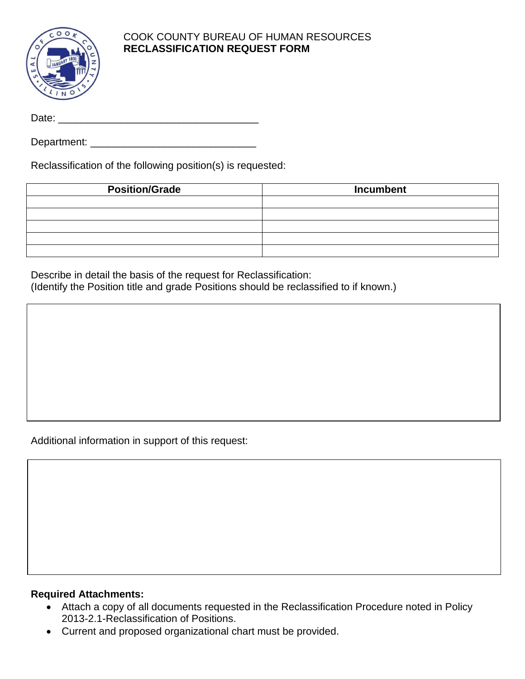

## COOK COUNTY BUREAU OF HUMAN RESOURCES **RECLASSIFICATION REQUEST FORM**

Date: \_\_\_\_\_\_\_\_\_\_\_\_\_\_\_\_\_\_\_\_\_\_\_\_\_\_\_\_\_\_\_\_\_\_\_

Department: \_\_\_\_\_\_\_\_\_\_\_\_\_\_\_\_\_\_\_\_\_\_\_\_\_\_\_\_\_

Reclassification of the following position(s) is requested:

| <b>Position/Grade</b> | Incumbent |
|-----------------------|-----------|
|                       |           |
|                       |           |
|                       |           |
|                       |           |
|                       |           |

Describe in detail the basis of the request for Reclassification: (Identify the Position title and grade Positions should be reclassified to if known.)

Additional information in support of this request:

## **Required Attachments:**

- Attach a copy of all documents requested in the Reclassification Procedure noted in Policy 2013-2.1-Reclassification of Positions.
- Current and proposed organizational chart must be provided.